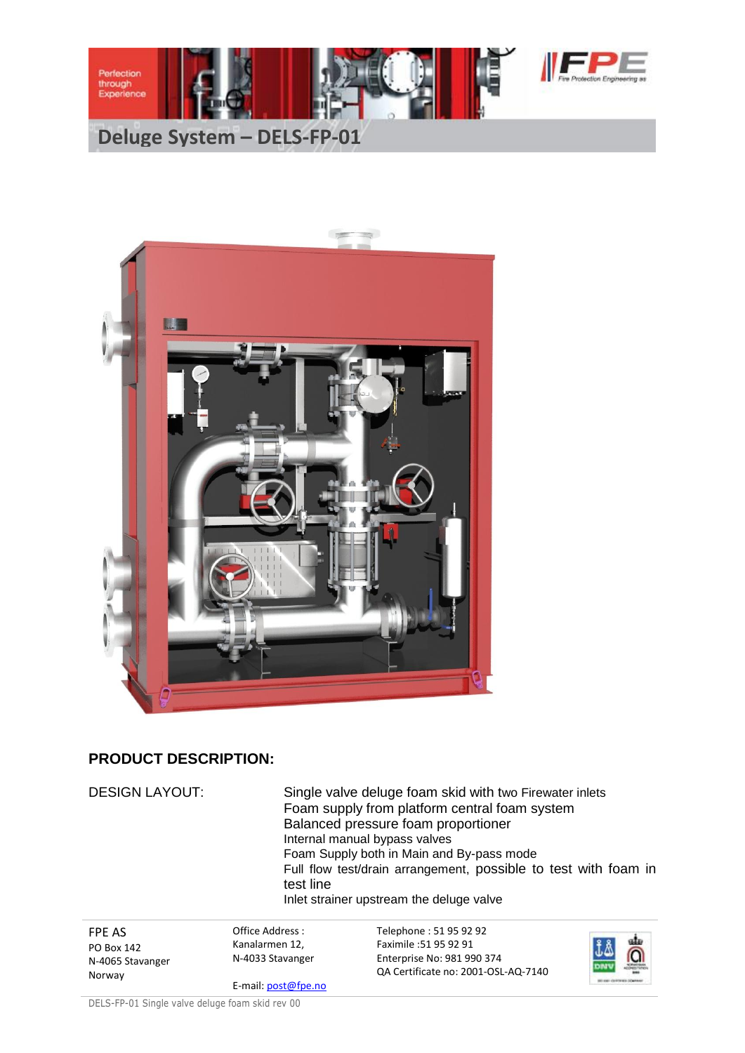





## **PRODUCT DESCRIPTION:**

| <b>DESIGN LAYOUT:</b> | test line             | Single valve deluge foam skid with two Firewater inlets<br>Foam supply from platform central foam system<br>Balanced pressure foam proportioner<br>Internal manual bypass valves<br>Foam Supply both in Main and By-pass mode<br>Full flow test/drain arrangement, possible to test with foam in<br>Inlet strainer upstream the deluge valve |  |  |
|-----------------------|-----------------------|----------------------------------------------------------------------------------------------------------------------------------------------------------------------------------------------------------------------------------------------------------------------------------------------------------------------------------------------|--|--|
| <b>FPE AS</b>         | Office Address:       | Telephone: 51 95 92 92                                                                                                                                                                                                                                                                                                                       |  |  |
| PO Box 142            | Kanalarmen 12,        | Faximile: 51 95 92 91                                                                                                                                                                                                                                                                                                                        |  |  |
| N-4065 Stavanger      | N-4033 Stavanger      | Enterprise No: 981 990 374                                                                                                                                                                                                                                                                                                                   |  |  |
| Norway                | $E$ mail: nost@fno.no | QA Certificate no: 2001-OSL-AQ-7140                                                                                                                                                                                                                                                                                                          |  |  |

E-mail: post@fpe.no

DELS-FP-01 Single valve deluge foam skid rev 00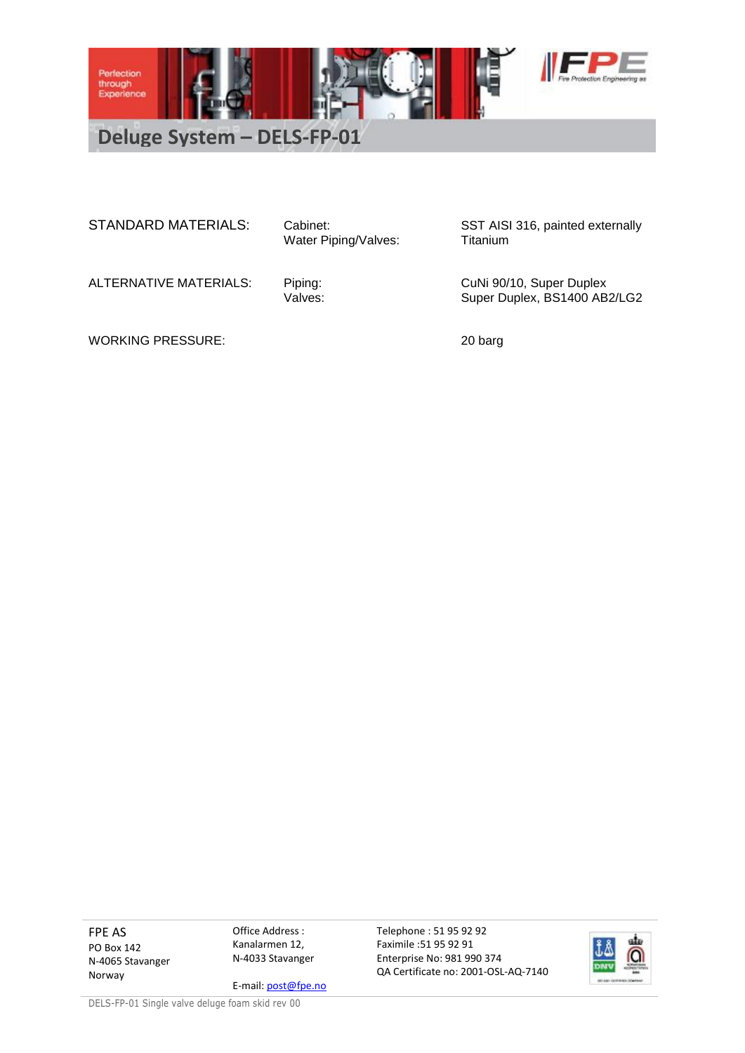

Water Piping/Valves:

STANDARD MATERIALS: Cabinet: STANDARD MATERIALS: Cabinet: SST AISI 316, painted externally<br>Water Piping/Valves: Titanium

ALTERNATIVE MATERIALS: Piping: CuNi 90/10, Super Duplex<br>Valves: Values: Super Duplex, BS1400 AB Super Duplex, BS1400 AB2/LG2

WORKING PRESSURE: 20 barg

FPE AS PO Box 142 N-4065 Stavanger Norway

Office Address : Kanalarmen 12, N-4033 Stavanger

E-mail: post@fpe.no

Telephone : 51 95 92 92 Faximile :51 95 92 91 Enterprise No: 981 990 374 QA Certificate no: 2001-OSL-AQ-7140



DELS-FP-01 Single valve deluge foam skid rev 00